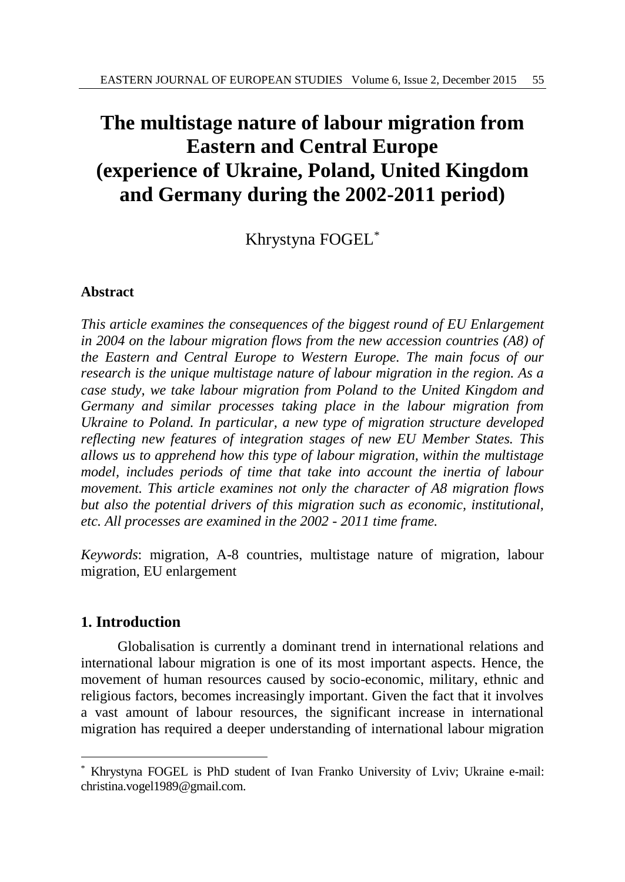# **The multistage nature of labour migration from Eastern and Central Europe (experience of Ukraine, Poland, United Kingdom and Germany during the 2002-2011 period)**

Khrystyna FOGEL\*

# **Abstract**

*This article examines the consequences of the biggest round of EU Enlargement in 2004 on the labour migration flows from the new accession countries (A8) of the Eastern and Central Europe to Western Europe. The main focus of our research is the unique multistage nature of labour migration in the region. As a case study, we take labour migration from Poland to the United Kingdom and Germany and similar processes taking place in the labour migration from Ukraine to Poland. In particular, a new type of migration structure developed reflecting new features of integration stages of new EU Member States. This allows us to apprehend how this type of labour migration, within the multistage model, includes periods of time that take into account the inertia of labour movement. This article examines not only the character of A8 migration flows but also the potential drivers of this migration such as economic, institutional, etc. All processes are examined in the 2002 - 2011 time frame.* 

*Keywords*: migration, A-8 countries, multistage nature of migration, labour migration, EU enlargement

# **1. Introduction**

l

Globalisation is currently a dominant trend in international relations and international labour migration is one of its most important aspects. Hence, the movement of human resources caused by socio-economic, military, ethnic and religious factors, becomes increasingly important. Given the fact that it involves a vast amount of labour resources, the significant increase in international migration has required a deeper understanding of international labour migration

<sup>\*</sup> Khrystyna FOGEL is PhD student of Ivan Franko University of Lviv; Ukraine e-mail: christina.vogel1989@gmail.com.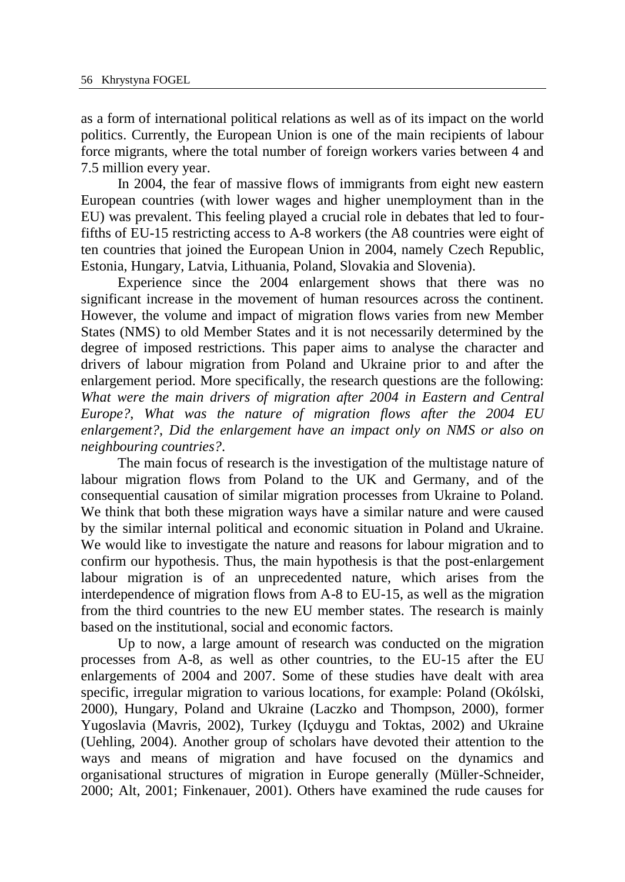as a form of international political relations as well as of its impact on the world politics. Currently, the European Union is one of the main recipients of labour force migrants, where the total number of foreign workers varies between 4 and 7.5 million every year.

In 2004, the fear of massive flows of immigrants from eight new eastern European countries (with lower wages and higher unemployment than in the EU) was prevalent. This feeling played a crucial role in debates that led to fourfifths of EU-15 restricting access to A-8 workers (the A8 countries were eight of ten countries that joined the European Union in 2004, namely Czech Republic, Estonia, Hungary, Latvia, Lithuania, Poland, Slovakia and Slovenia).

Experience since the 2004 enlargement shows that there was no significant increase in the movement of human resources across the continent. However, the volume and impact of migration flows varies from new Member States (NMS) to old Member States and it is not necessarily determined by the degree of imposed restrictions. This paper aims to analyse the character and drivers of labour migration from Poland and Ukraine prior to and after the enlargement period. More specifically, the research questions are the following: *What were the main drivers of migration after 2004 in Eastern and Central Europe?*, *What was the nature of migration flows after the 2004 EU enlargement?*, *Did the enlargement have an impact only on NMS or also on neighbouring countries?*.

The main focus of research is the investigation of the multistage nature of labour migration flows from Poland to the UK and Germany, and of the consequential causation of similar migration processes from Ukraine to Poland. We think that both these migration ways have a similar nature and were caused by the similar internal political and economic situation in Poland and Ukraine. We would like to investigate the nature and reasons for labour migration and to confirm our hypothesis. Thus, the main hypothesis is that the post-enlargement labour migration is of an unprecedented nature, which arises from the interdependence of migration flows from A-8 to EU-15, as well as the migration from the third countries to the new EU member states. The research is mainly based on the institutional, social and economic factors.

Up to now, a large amount of research was conducted on the migration processes from A-8, as well as other countries, to the EU-15 after the EU enlargements of 2004 and 2007. Some of these studies have dealt with area specific, irregular migration to various locations, for example: Poland (Okólski, 2000), Hungary, Poland and Ukraine (Laczko and Thompson, 2000), former Yugoslavia (Mavris, 2002), Turkey (Içduygu and Toktas, 2002) and Ukraine (Uehling, 2004). Another group of scholars have devoted their attention to the ways and means of migration and have focused on the dynamics and organisational structures of migration in Europe generally (Müller-Schneider, 2000; Alt, 2001; Finkenauer, 2001). Others have examined the rude causes for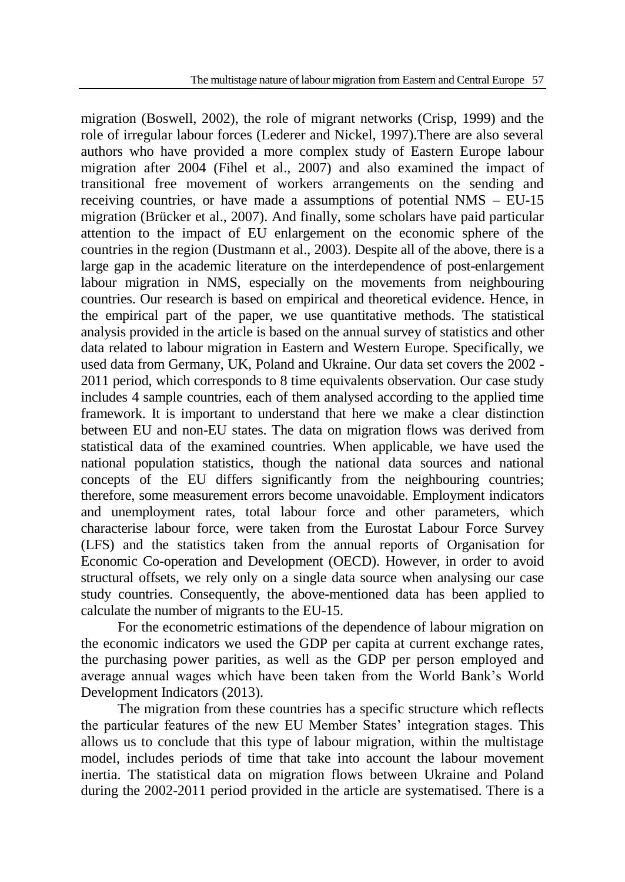migration (Boswell, 2002), the role of migrant networks (Crisp, 1999) and the role of irregular labour forces (Lederer and Nickel, 1997).There are also several authors who have provided a more complex study of Eastern Europe labour migration after 2004 (Fihel et al., 2007) and also examined the impact of transitional free movement of workers arrangements on the sending and receiving countries, or have made a assumptions of potential NMS – EU-15 migration (Brücker et al., 2007). And finally, some scholars have paid particular attention to the impact of EU enlargement on the economic sphere of the countries in the region (Dustmann et al., 2003). Despite all of the above, there is a large gap in the academic literature on the interdependence of post-enlargement labour migration in NMS, especially on the movements from neighbouring countries. Our research is based on empirical and theoretical evidence. Hence, in the empirical part of the paper, we use quantitative methods. The statistical analysis provided in the article is based on the annual survey of statistics and other data related to labour migration in Eastern and Western Europe. Specifically, we used data from Germany, UK, Poland and Ukraine. Our data set covers the 2002 - 2011 period, which corresponds to 8 time equivalents observation. Our case study includes 4 sample countries, each of them analysed according to the applied time framework. It is important to understand that here we make a clear distinction between EU and non-EU states. The data on migration flows was derived from statistical data of the examined countries. When applicable, we have used the national population statistics, though the national data sources and national concepts of the EU differs significantly from the neighbouring countries; therefore, some measurement errors become unavoidable. Employment indicators and unemployment rates, total labour force and other parameters, which characterise labour force, were taken from the Eurostat Labour Force Survey (LFS) and the statistics taken from the annual reports of Organisation for Economic Co-operation and Development (OECD). However, in order to avoid structural offsets, we rely only on a single data source when analysing our case study countries. Consequently, the above-mentioned data has been applied to calculate the number of migrants to the EU-15.

For the econometric estimations of the dependence of labour migration on the economic indicators we used the GDP per capita at current exchange rates, the purchasing power parities, as well as the GDP per person employed and average annual wages which have been taken from the World Bank's World Development Indicators (2013).

The migration from these countries has a specific structure which reflects the particular features of the new EU Member States' integration stages. This allows us to conclude that this type of labour migration, within the multistage model, includes periods of time that take into account the labour movement inertia. The statistical data on migration flows between Ukraine and Poland during the 2002-2011 period provided in the article are systematised. There is a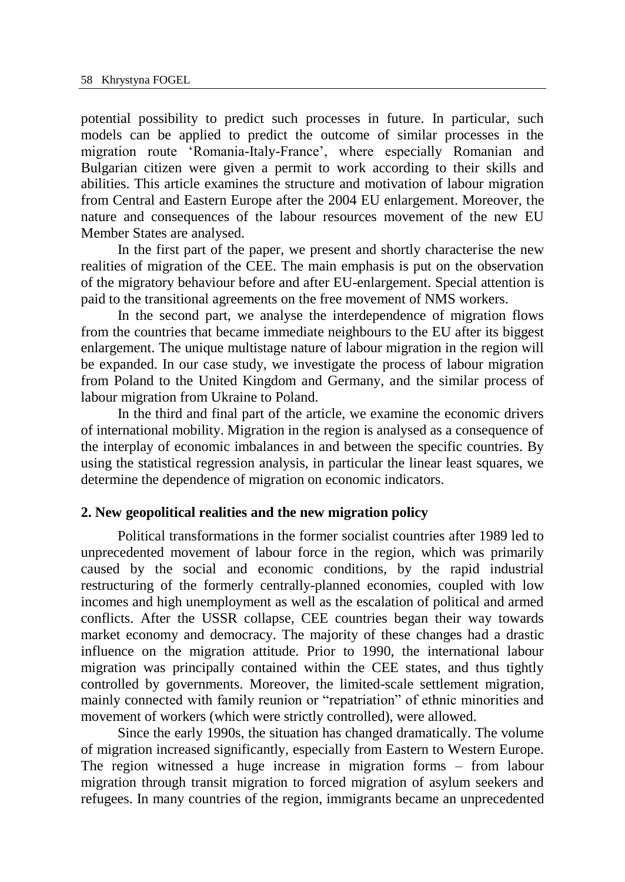potential possibility to predict such processes in future. In particular, such models can be applied to predict the outcome of similar processes in the migration route 'Romania-Italy-France', where especially Romanian and Bulgarian citizen were given a permit to work according to their skills and abilities. This article examines the structure and motivation of labour migration from Central and Eastern Europe after the 2004 EU enlargement. Moreover, the nature and consequences of the labour resources movement of the new EU Member States are analysed.

In the first part of the paper, we present and shortly characterise the new realities of migration of the CEE. The main emphasis is put on the observation of the migratory behaviour before and after EU-enlargement. Special attention is paid to the transitional agreements on the free movement of NMS workers.

In the second part, we analyse the interdependence of migration flows from the countries that became immediate neighbours to the EU after its biggest enlargement. The unique multistage nature of labour migration in the region will be expanded. In our case study, we investigate the process of labour migration from Poland to the United Kingdom and Germany, and the similar process of labour migration from Ukraine to Poland.

In the third and final part of the article, we examine the economic drivers of international mobility. Migration in the region is analysed as a consequence of the interplay of economic imbalances in and between the specific countries. By using the statistical regression analysis, in particular the linear least squares, we determine the dependence of migration on economic indicators.

#### **2. New geopolitical realities and the new migration policy**

Political transformations in the former socialist countries after 1989 led to unprecedented movement of labour force in the region, which was primarily caused by the social and economic conditions, by the rapid industrial restructuring of the formerly centrally-planned economies, coupled with low incomes and high unemployment as well as the escalation of political and armed conflicts. After the USSR collapse, CEE countries began their way towards market economy and democracy. The majority of these changes had a drastic influence on the migration attitude. Prior to 1990, the international labour migration was principally contained within the CEE states, and thus tightly controlled by governments. Moreover, the limited-scale settlement migration, mainly connected with family reunion or "repatriation" of ethnic minorities and movement of workers (which were strictly controlled), were allowed.

Since the early 1990s, the situation has changed dramatically. The volume of migration increased significantly, especially from Eastern to Western Europe. The region witnessed a huge increase in migration forms – from labour migration through transit migration to forced migration of asylum seekers and refugees. In many countries of the region, immigrants became an unprecedented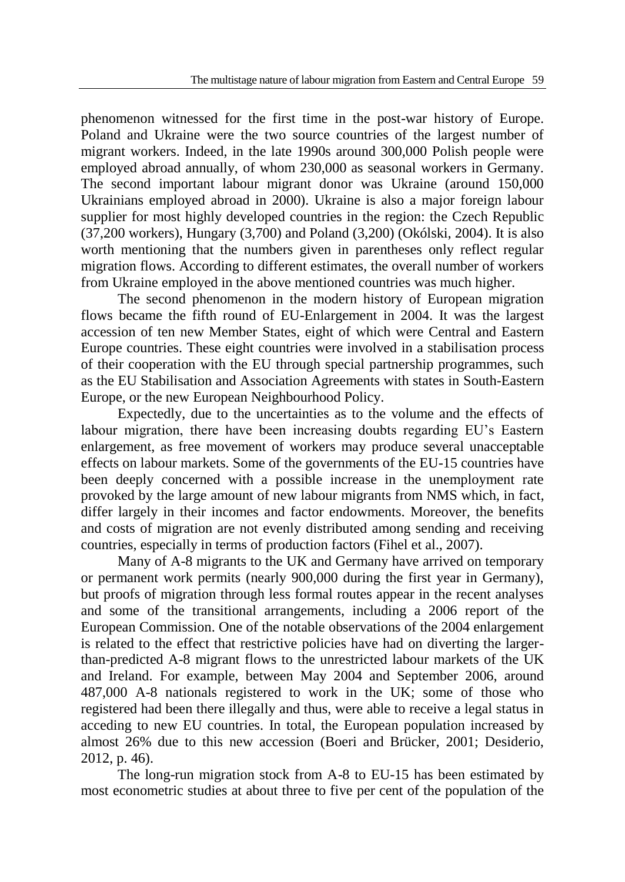phenomenon witnessed for the first time in the post-war history of Europe. Poland and Ukraine were the two source countries of the largest number of migrant workers. Indeed, in the late 1990s around 300,000 Polish people were employed abroad annually, of whom 230,000 as seasonal workers in Germany. The second important labour migrant donor was Ukraine (around 150,000 Ukrainians employed abroad in 2000). Ukraine is also a major foreign labour supplier for most highly developed countries in the region: the Czech Republic (37,200 workers), Hungary (3,700) and Poland (3,200) (Okólski, 2004). It is also worth mentioning that the numbers given in parentheses only reflect regular migration flows. According to different estimates, the overall number of workers from Ukraine employed in the above mentioned countries was much higher.

The second phenomenon in the modern history of European migration flows became the fifth round of EU-Enlargement in 2004. It was the largest accession of ten new Member States, eight of which were Central and Eastern Europe countries. These eight countries were involved in a stabilisation process of their cooperation with the EU through special partnership programmes, such as the EU Stabilisation and Association Agreements with states in South-Eastern Europe, or the new European Neighbourhood Policy.

Expectedly, due to the uncertainties as to the volume and the effects of labour migration, there have been increasing doubts regarding EU's Eastern enlargement, as free movement of workers may produce several unacceptable effects on labour markets. Some of the governments of the EU-15 countries have been deeply concerned with a possible increase in the unemployment rate provoked by the large amount of new labour migrants from NMS which, in fact, differ largely in their incomes and factor endowments. Moreover, the benefits and costs of migration are not evenly distributed among sending and receiving countries, especially in terms of production factors (Fihel et al., 2007).

Many of A-8 migrants to the UK and Germany have arrived on temporary or permanent work permits (nearly 900,000 during the first year in Germany), but proofs of migration through less formal routes appear in the recent analyses and some of the transitional arrangements, including a 2006 report of the European Commission. One of the notable observations of the 2004 enlargement is related to the effect that restrictive policies have had on diverting the largerthan-predicted A-8 migrant flows to the unrestricted labour markets of the UK and Ireland. For example, between May 2004 and September 2006, around 487,000 A-8 nationals registered to work in the UK; some of those who registered had been there illegally and thus, were able to receive a legal status in acceding to new EU countries. In total, the European population increased by almost 26% due to this new accession (Boeri and Brücker, 2001; Desiderio, 2012, p. 46).

The long-run migration stock from A-8 to EU-15 has been estimated by most econometric studies at about three to five per cent of the population of the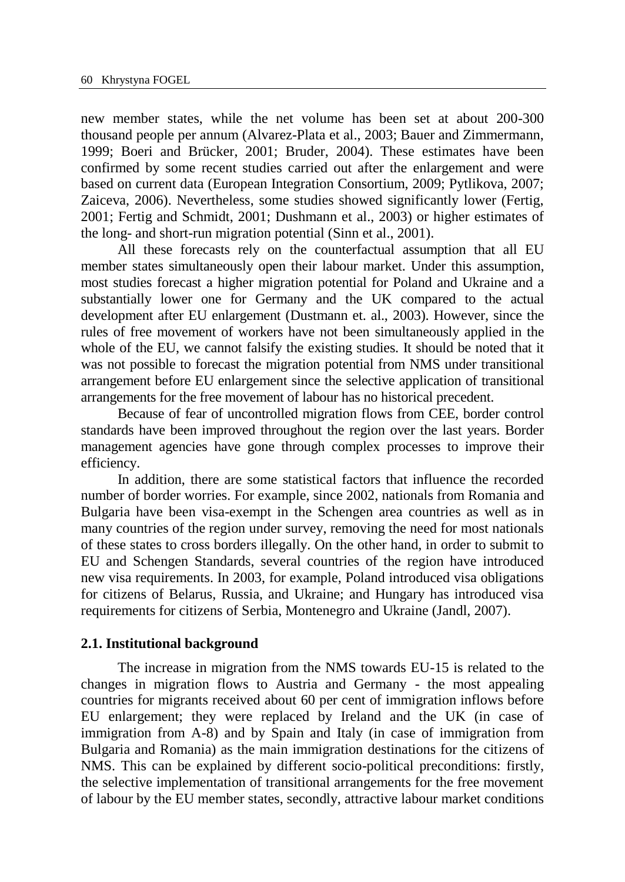new member states, while the net volume has been set at about 200-300 thousand people per annum (Alvarez-Plata et al., 2003; Bauer and Zimmermann, 1999; Boeri and Brücker, 2001; Bruder, 2004). These estimates have been confirmed by some recent studies carried out after the enlargement and were based on current data (European Integration Consortium, 2009; Pytlikova, 2007; Zaiceva, 2006). Nevertheless, some studies showed significantly lower (Fertig, 2001; Fertig and Schmidt, 2001; Dushmann et al., 2003) or higher estimates of the long- and short-run migration potential (Sinn et al., 2001).

All these forecasts rely on the counterfactual assumption that all EU member states simultaneously open their labour market. Under this assumption, most studies forecast a higher migration potential for Poland and Ukraine and a substantially lower one for Germany and the UK compared to the actual development after EU enlargement (Dustmann et. al., 2003). However, since the rules of free movement of workers have not been simultaneously applied in the whole of the EU, we cannot falsify the existing studies. It should be noted that it was not possible to forecast the migration potential from NMS under transitional arrangement before EU enlargement since the selective application of transitional arrangements for the free movement of labour has no historical precedent.

Because of fear of uncontrolled migration flows from CEE, border control standards have been improved throughout the region over the last years. Border management agencies have gone through complex processes to improve their efficiency.

In addition, there are some statistical factors that influence the recorded number of border worries. For example, since 2002, nationals from Romania and Bulgaria have been visa-exempt in the Schengen area countries as well as in many countries of the region under survey, removing the need for most nationals of these states to cross borders illegally. On the other hand, in order to submit to EU and Schengen Standards, several countries of the region have introduced new visa requirements. In 2003, for example, Poland introduced visa obligations for citizens of Belarus, Russia, and Ukraine; and Hungary has introduced visa requirements for citizens of Serbia, Montenegro and Ukraine (Jandl, 2007).

#### **2.1. Institutional background**

The increase in migration from the NMS towards EU-15 is related to the changes in migration flows to Austria and Germany - the most appealing countries for migrants received about 60 per cent of immigration inflows before EU enlargement; they were replaced by Ireland and the UK (in case of immigration from A-8) and by Spain and Italy (in case of immigration from Bulgaria and Romania) as the main immigration destinations for the citizens of NMS. This can be explained by different socio-political preconditions: firstly, the selective implementation of transitional arrangements for the free movement of labour by the EU member states, secondly, attractive labour market conditions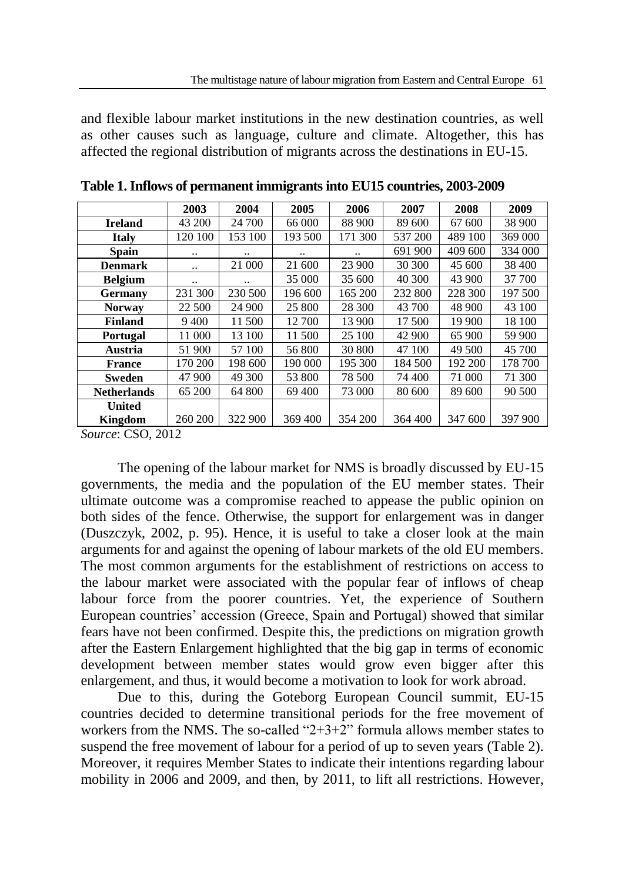and flexible labour market institutions in the new destination countries, as well as other causes such as language, culture and climate. Altogether, this has affected the regional distribution of migrants across the destinations in EU-15.

|                                     | 2003    | 2004    | 2005    | 2006    | 2007    | 2008    | 2009    |
|-------------------------------------|---------|---------|---------|---------|---------|---------|---------|
| <b>Ireland</b>                      | 43 200  | 24 700  | 66 000  | 88 900  | 89 600  | 67 600  | 38 900  |
|                                     |         |         |         |         |         |         |         |
| <b>Italy</b>                        | 120 100 | 153 100 | 193 500 | 171 300 | 537 200 | 489 100 | 369 000 |
| <b>Spain</b>                        |         |         |         |         | 691 900 | 409 600 | 334 000 |
| <b>Denmark</b>                      |         | 21 000  | 21 600  | 23 900  | 30 300  | 45 600  | 38 400  |
| <b>Belgium</b>                      |         |         | 35 000  | 35 600  | 40 300  | 43 900  | 37 700  |
| Germany                             | 231 300 | 230 500 | 196 600 | 165 200 | 232 800 | 228 300 | 197 500 |
| <b>Norway</b>                       | 22 500  | 24 900  | 25 800  | 28 300  | 43 700  | 48 900  | 43 100  |
| <b>Finland</b>                      | 9400    | 11 500  | 12 700  | 13 900  | 17 500  | 19 900  | 18 100  |
| Portugal                            | 11 000  | 13 100  | 11 500  | 25 100  | 42 900  | 65 900  | 59 900  |
| Austria                             | 51 900  | 57 100  | 56 800  | 30 800  | 47 100  | 49 500  | 45 700  |
| France                              | 170 200 | 198 600 | 190 000 | 195 300 | 184 500 | 192 200 | 178 700 |
| <b>Sweden</b>                       | 47 900  | 49 300  | 53 800  | 78 500  | 74 400  | 71 000  | 71 300  |
| <b>Netherlands</b>                  | 65 200  | 64 800  | 69 400  | 73 000  | 80 600  | 89 600  | 90 500  |
| <b>United</b>                       |         |         |         |         |         |         |         |
| Kingdom                             | 260 200 | 322 900 | 369 400 | 354 200 | 364 400 | 347 600 | 397 900 |
| $\alpha$ $\alpha$ $\alpha$ $\alpha$ |         |         |         |         |         |         |         |

**Table 1. Inflows of permanent immigrants into EU15 countries, 2003-2009**

*Source*: CSO, 2012

The opening of the labour market for NMS is broadly discussed by EU-15 governments, the media and the population of the EU member states. Their ultimate outcome was a compromise reached to appease the public opinion on both sides of the fence. Otherwise, the support for enlargement was in danger (Duszczyk, 2002, p. 95). Hence, it is useful to take a closer look at the main arguments for and against the opening of labour markets of the old EU members. The most common arguments for the establishment of restrictions on access to the labour market were associated with the popular fear of inflows of cheap labour force from the poorer countries. Yet, the experience of Southern European countries' accession (Greece, Spain and Portugal) showed that similar fears have not been confirmed. Despite this, the predictions on migration growth after the Eastern Enlargement highlighted that the big gap in terms of economic development between member states would grow even bigger after this enlargement, and thus, it would become a motivation to look for work abroad.

Due to this, during the Goteborg European Council summit, EU-15 countries decided to determine transitional periods for the free movement of workers from the NMS. The so-called "2+3+2" formula allows member states to suspend the free movement of labour for a period of up to seven years (Table 2). Moreover, it requires Member States to indicate their intentions regarding labour mobility in 2006 and 2009, and then, by 2011, to lift all restrictions. However,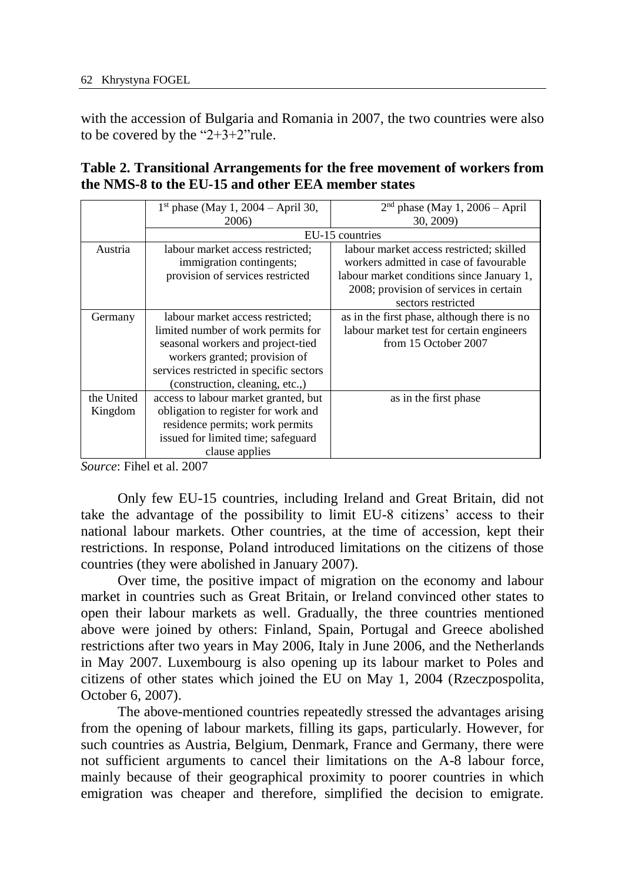with the accession of Bulgaria and Romania in 2007, the two countries were also to be covered by the "2+3+2"rule.

|            | $1st$ phase (May 1, 2004 – April 30,    | $2nd$ phase (May 1, 2006 – April            |
|------------|-----------------------------------------|---------------------------------------------|
|            | 2006)                                   | 30, 2009)                                   |
|            |                                         | EU-15 countries                             |
| Austria    | labour market access restricted;        | labour market access restricted; skilled    |
|            | immigration contingents;                | workers admitted in case of favourable      |
|            | provision of services restricted        | labour market conditions since January 1,   |
|            |                                         | 2008; provision of services in certain      |
|            |                                         | sectors restricted                          |
| Germany    | labour market access restricted;        | as in the first phase, although there is no |
|            | limited number of work permits for      | labour market test for certain engineers    |
|            | seasonal workers and project-tied       | from 15 October 2007                        |
|            | workers granted; provision of           |                                             |
|            | services restricted in specific sectors |                                             |
|            | (construction, cleaning, etc.,)         |                                             |
| the United | access to labour market granted, but    | as in the first phase                       |
| Kingdom    | obligation to register for work and     |                                             |
|            | residence permits; work permits         |                                             |
|            | issued for limited time; safeguard      |                                             |
|            | clause applies                          |                                             |

# **Table 2. Transitional Arrangements for the free movement of workers from the NMS-8 to the EU-15 and other EEA member states**

*Source*: Fihel et al. 2007

Only few EU-15 countries, including Ireland and Great Britain, did not take the advantage of the possibility to limit EU-8 citizens' access to their national labour markets. Other countries, at the time of accession, kept their restrictions. In response, Poland introduced limitations on the citizens of those countries (they were abolished in January 2007).

Over time, the positive impact of migration on the economy and labour market in countries such as Great Britain, or Ireland convinced other states to open their labour markets as well. Gradually, the three countries mentioned above were joined by others: Finland, Spain, Portugal and Greece abolished restrictions after two years in May 2006, Italy in June 2006, and the Netherlands in May 2007. Luxembourg is also opening up its labour market to Poles and citizens of other states which joined the EU on May 1, 2004 (Rzeczpospolita, October 6, 2007).

The above-mentioned countries repeatedly stressed the advantages arising from the opening of labour markets, filling its gaps, particularly. However, for such countries as Austria, Belgium, Denmark, France and Germany, there were not sufficient arguments to cancel their limitations on the A-8 labour force, mainly because of their geographical proximity to poorer countries in which emigration was cheaper and therefore, simplified the decision to emigrate.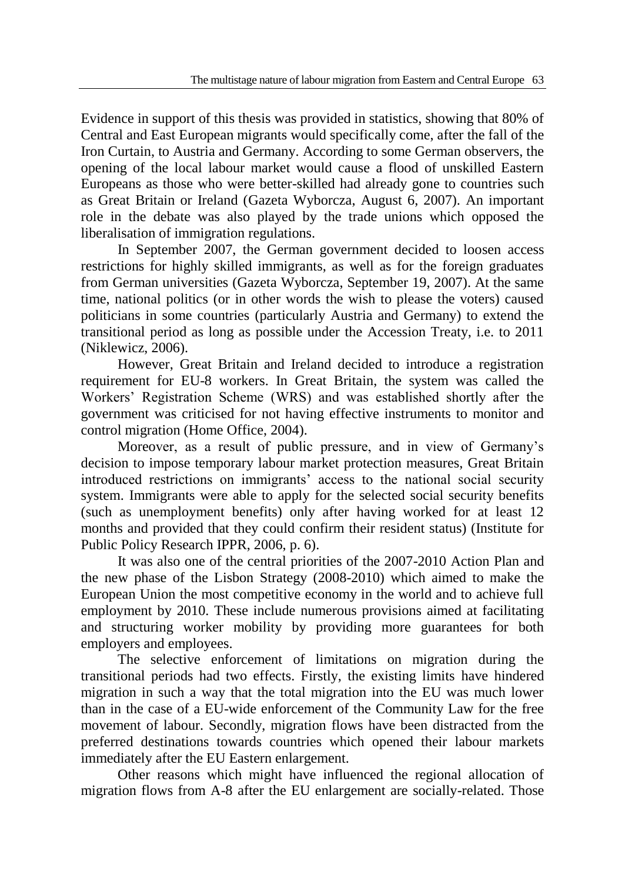Evidence in support of this thesis was provided in statistics, showing that 80% of Central and East European migrants would specifically come, after the fall of the Iron Curtain, to Austria and Germany. According to some German observers, the opening of the local labour market would cause a flood of unskilled Eastern Europeans as those who were better-skilled had already gone to countries such as Great Britain or Ireland (Gazeta Wyborcza, August 6, 2007). An important role in the debate was also played by the trade unions which opposed the liberalisation of immigration regulations.

In September 2007, the German government decided to loosen access restrictions for highly skilled immigrants, as well as for the foreign graduates from German universities (Gazeta Wyborcza, September 19, 2007). At the same time, national politics (or in other words the wish to please the voters) caused politicians in some countries (particularly Austria and Germany) to extend the transitional period as long as possible under the Accession Treaty, i.e. to 2011 (Niklewicz, 2006).

However, Great Britain and Ireland decided to introduce a registration requirement for EU-8 workers. In Great Britain, the system was called the Workers' Registration Scheme (WRS) and was established shortly after the government was criticised for not having effective instruments to monitor and control migration (Home Office, 2004).

Moreover, as a result of public pressure, and in view of Germany's decision to impose temporary labour market protection measures, Great Britain introduced restrictions on immigrants' access to the national social security system. Immigrants were able to apply for the selected social security benefits (such as unemployment benefits) only after having worked for at least 12 months and provided that they could confirm their resident status) (Institute for Public Policy Research IPPR, 2006, p. 6).

It was also one of the central priorities of the 2007-2010 Action Plan and the new phase of the Lisbon Strategy (2008-2010) which aimed to make the European Union the most competitive economy in the world and to achieve full employment by 2010. These include numerous provisions aimed at facilitating and structuring worker mobility by providing more guarantees for both employers and employees.

The selective enforcement of limitations on migration during the transitional periods had two effects. Firstly, the existing limits have hindered migration in such a way that the total migration into the EU was much lower than in the case of a EU-wide enforcement of the Community Law for the free movement of labour. Secondly, migration flows have been distracted from the preferred destinations towards countries which opened their labour markets immediately after the EU Eastern enlargement.

Other reasons which might have influenced the regional allocation of migration flows from A-8 after the EU enlargement are socially-related. Those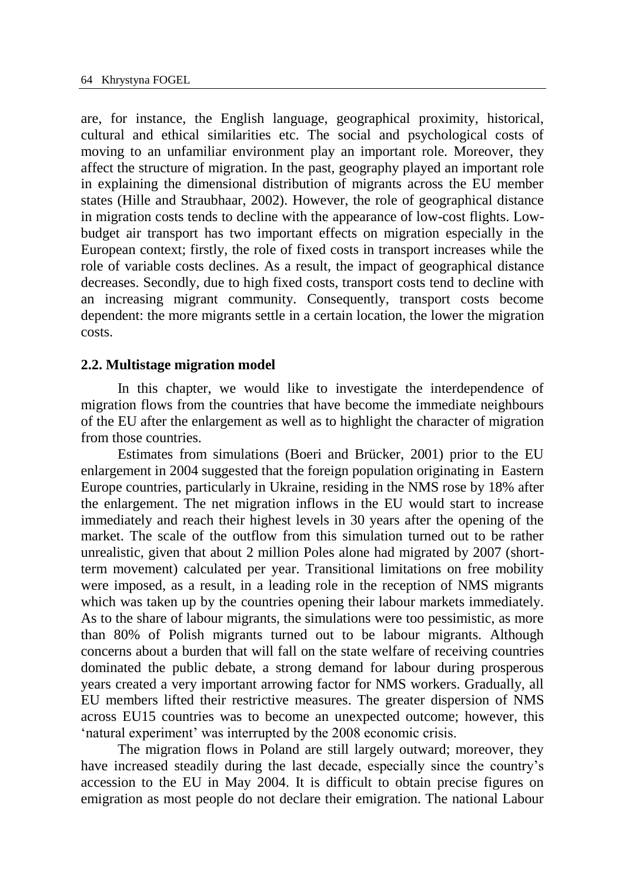are, for instance, the English language, geographical proximity, historical, cultural and ethical similarities etc. The social and psychological costs of moving to an unfamiliar environment play an important role. Moreover, they affect the structure of migration. In the past, geography played an important role in explaining the dimensional distribution of migrants across the EU member states (Hille and Straubhaar, 2002). However, the role of geographical distance in migration costs tends to decline with the appearance of low-cost flights. Lowbudget air transport has two important effects on migration especially in the European context; firstly, the role of fixed costs in transport increases while the role of variable costs declines. As a result, the impact of geographical distance decreases. Secondly, due to high fixed costs, transport costs tend to decline with an increasing migrant community. Consequently, transport costs become dependent: the more migrants settle in a certain location, the lower the migration costs.

#### **2.2. Multistage migration model**

In this chapter, we would like to investigate the interdependence of migration flows from the countries that have become the immediate neighbours of the EU after the enlargement as well as to highlight the character of migration from those countries.

Estimates from simulations (Boeri and Brücker, 2001) prior to the EU enlargement in 2004 suggested that the foreign population originating in Eastern Europe countries, particularly in Ukraine, residing in the NMS rose by 18% after the enlargement. The net migration inflows in the EU would start to increase immediately and reach their highest levels in 30 years after the opening of the market. The scale of the outflow from this simulation turned out to be rather unrealistic, given that about 2 million Poles alone had migrated by 2007 (shortterm movement) calculated per year. Transitional limitations on free mobility were imposed, as a result, in a leading role in the reception of NMS migrants which was taken up by the countries opening their labour markets immediately. As to the share of labour migrants, the simulations were too pessimistic, as more than 80% of Polish migrants turned out to be labour migrants. Although concerns about a burden that will fall on the state welfare of receiving countries dominated the public debate, a strong demand for labour during prosperous years created a very important arrowing factor for NMS workers. Gradually, all EU members lifted their restrictive measures. The greater dispersion of NMS across EU15 countries was to become an unexpected outcome; however, this 'natural experiment' was interrupted by the 2008 economic crisis.

The migration flows in Poland are still largely outward; moreover, they have increased steadily during the last decade, especially since the country's accession to the EU in May 2004. It is difficult to obtain precise figures on emigration as most people do not declare their emigration. The national Labour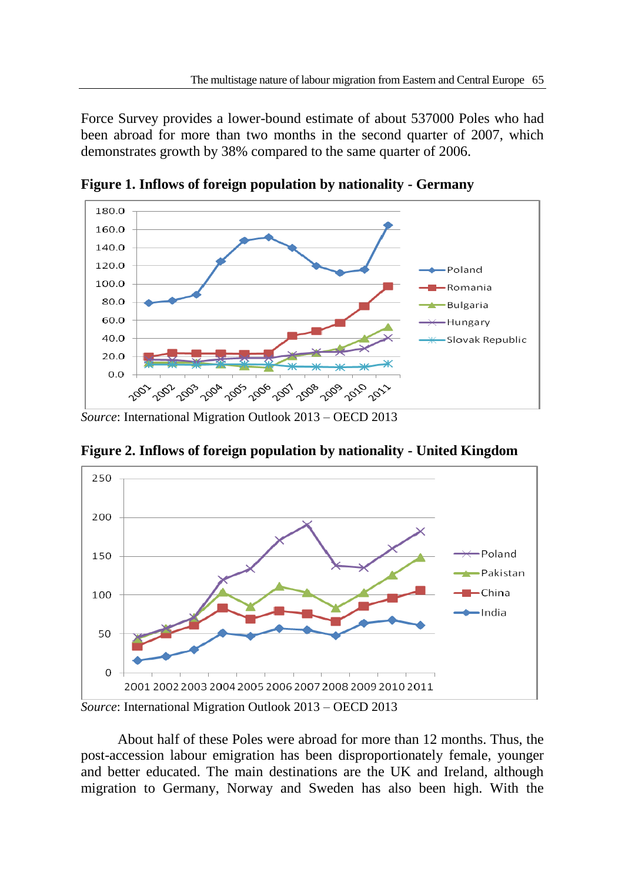Force Survey provides a lower-bound estimate of about 537000 Poles who had been abroad for more than two months in the second quarter of 2007, which demonstrates growth by 38% compared to the same quarter of 2006.



**Figure 1. Inflows of foreign population by nationality - Germany**

**Figure 2. Inflows of foreign population by nationality - United Kingdom**



*Source*: International Migration Outlook 2013 – OECD 2013

About half of these Poles were abroad for more than 12 months. Thus, the post-accession labour emigration has been disproportionately female, younger and better educated. The main destinations are the UK and Ireland, although migration to Germany, Norway and Sweden has also been high. With the

*Source*: International Migration Outlook 2013 – OECD 2013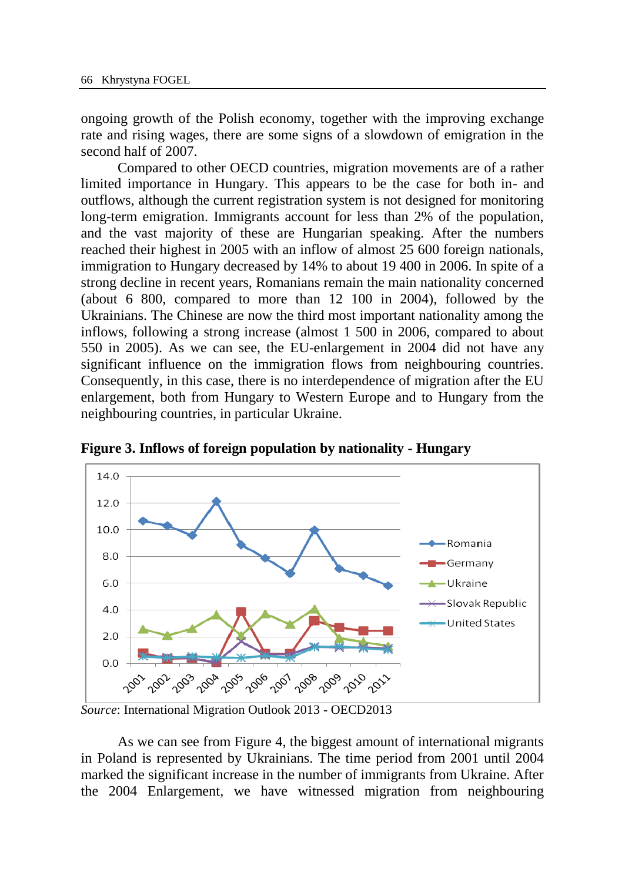ongoing growth of the Polish economy, together with the improving exchange rate and rising wages, there are some signs of a slowdown of emigration in the second half of 2007.

Compared to other OECD countries, migration movements are of a rather limited importance in Hungary. This appears to be the case for both in- and outflows, although the current registration system is not designed for monitoring long-term emigration. Immigrants account for less than 2% of the population, and the vast majority of these are Hungarian speaking. After the numbers reached their highest in 2005 with an inflow of almost 25 600 foreign nationals, immigration to Hungary decreased by 14% to about 19 400 in 2006. In spite of a strong decline in recent years, Romanians remain the main nationality concerned (about 6 800, compared to more than 12 100 in 2004), followed by the Ukrainians. The Chinese are now the third most important nationality among the inflows, following a strong increase (almost 1 500 in 2006, compared to about 550 in 2005). As we can see, the EU-enlargement in 2004 did not have any significant influence on the immigration flows from neighbouring countries. Consequently, in this case, there is no interdependence of migration after the EU enlargement, both from Hungary to Western Europe and to Hungary from the neighbouring countries, in particular Ukraine.



**Figure 3. Inflows of foreign population by nationality - Hungary**

*Source*: International Migration Outlook 2013 - OECD2013

As we can see from Figure 4, the biggest amount of international migrants in Poland is represented by Ukrainians. The time period from 2001 until 2004 marked the significant increase in the number of immigrants from Ukraine. After the 2004 Enlargement, we have witnessed migration from neighbouring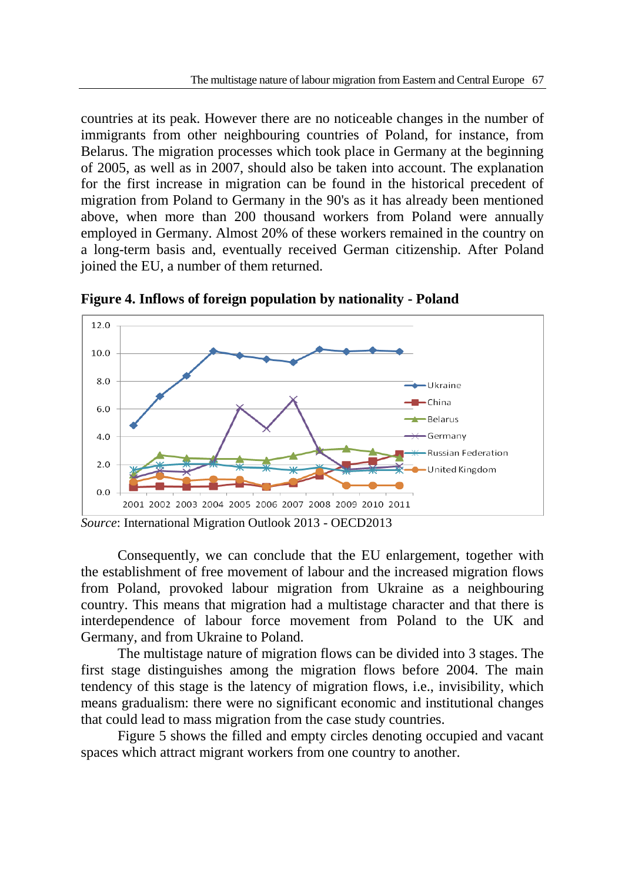countries at its peak. However there are no noticeable changes in the number of immigrants from other neighbouring countries of Poland, for instance, from Belarus. The migration processes which took place in Germany at the beginning of 2005, as well as in 2007, should also be taken into account. The explanation for the first increase in migration can be found in the historical precedent of migration from Poland to Germany in the 90's as it has already been mentioned above, when more than 200 thousand workers from Poland were annually employed in Germany. Almost 20% of these workers remained in the country on a long-term basis and, eventually received German citizenship. After Poland joined the EU, a number of them returned.



**Figure 4. Inflows of foreign population by nationality - Poland**

Consequently, we can conclude that the EU enlargement, together with the establishment of free movement of labour and the increased migration flows from Poland, provoked labour migration from Ukraine as a neighbouring country. This means that migration had a multistage character and that there is interdependence of labour force movement from Poland to the UK and Germany, and from Ukraine to Poland.

The multistage nature of migration flows can be divided into 3 stages. The first stage distinguishes among the migration flows before 2004. The main tendency of this stage is the latency of migration flows, i.e., invisibility, which means gradualism: there were no significant economic and institutional changes that could lead to mass migration from the case study countries.

Figure 5 shows the filled and empty circles denoting occupied and vacant spaces which attract migrant workers from one country to another.

*Source*: International Migration Outlook 2013 - OECD2013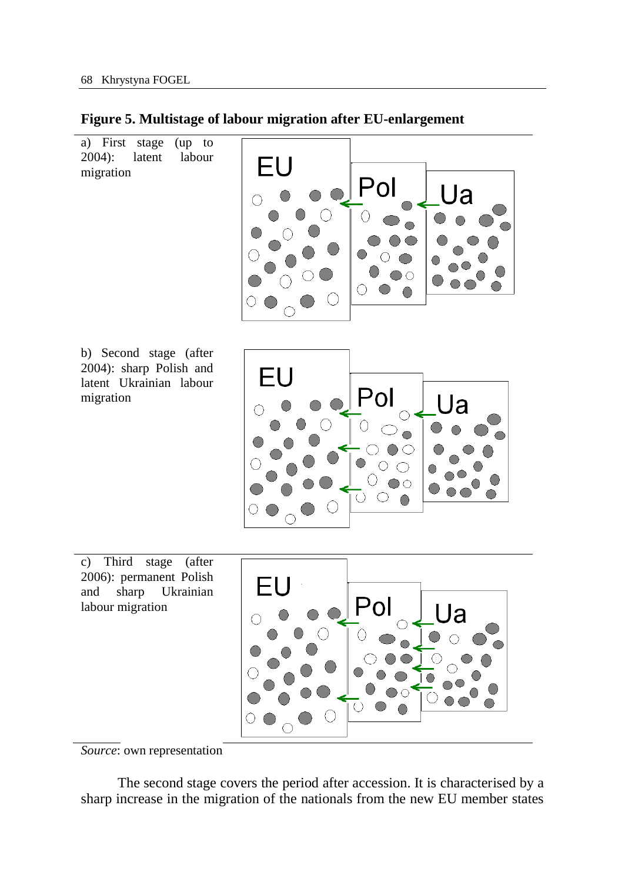

FU

a) First stage (up to 2004): latent labour labour migration

b) Second stage (after 2004): sharp Polish and latent Ukrainian labour migration



c) Third stage (after 2006): permanent Polish and sharp Ukrainian labour migration



*Source*: own representation

The second stage covers the period after accession. It is characterised by a sharp increase in the migration of the nationals from the new EU member states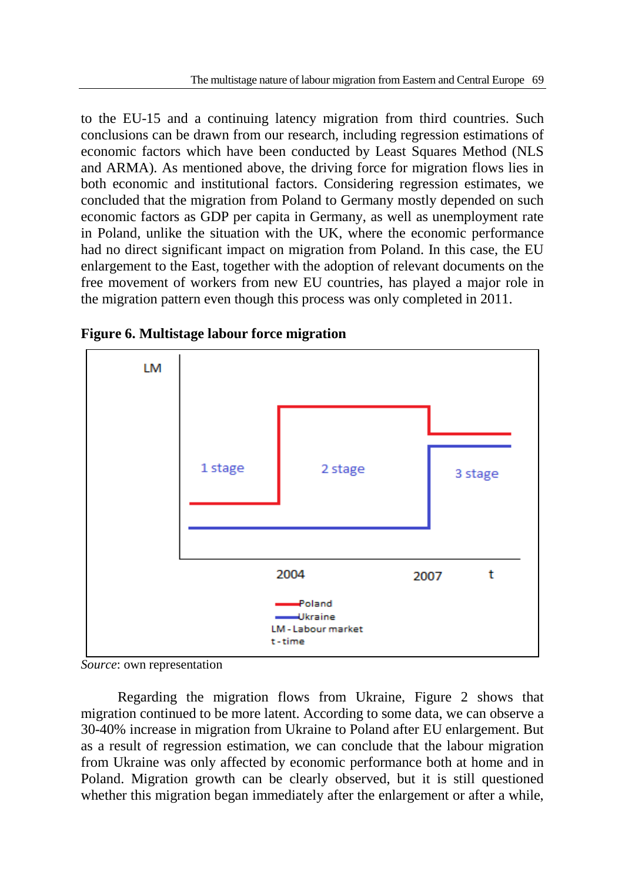to the EU-15 and a continuing latency migration from third countries. Such conclusions can be drawn from our research, including regression estimations of economic factors which have been conducted by Least Squares Method (NLS and ARMA). As mentioned above, the driving force for migration flows lies in both economic and institutional factors. Considering regression estimates, we concluded that the migration from Poland to Germany mostly depended on such economic factors as GDP per capita in Germany, as well as unemployment rate in Poland, unlike the situation with the UK, where the economic performance had no direct significant impact on migration from Poland. In this case, the EU enlargement to the East, together with the adoption of relevant documents on the free movement of workers from new EU countries, has played a major role in the migration pattern even though this process was only completed in 2011.



**Figure 6. Multistage labour force migration**

*Source*: own representation

Regarding the migration flows from Ukraine, Figure 2 shows that migration continued to be more latent. According to some data, we can observe a 30-40% increase in migration from Ukraine to Poland after EU enlargement. But as a result of regression estimation, we can conclude that the labour migration from Ukraine was only affected by economic performance both at home and in Poland. Migration growth can be clearly observed, but it is still questioned whether this migration began immediately after the enlargement or after a while,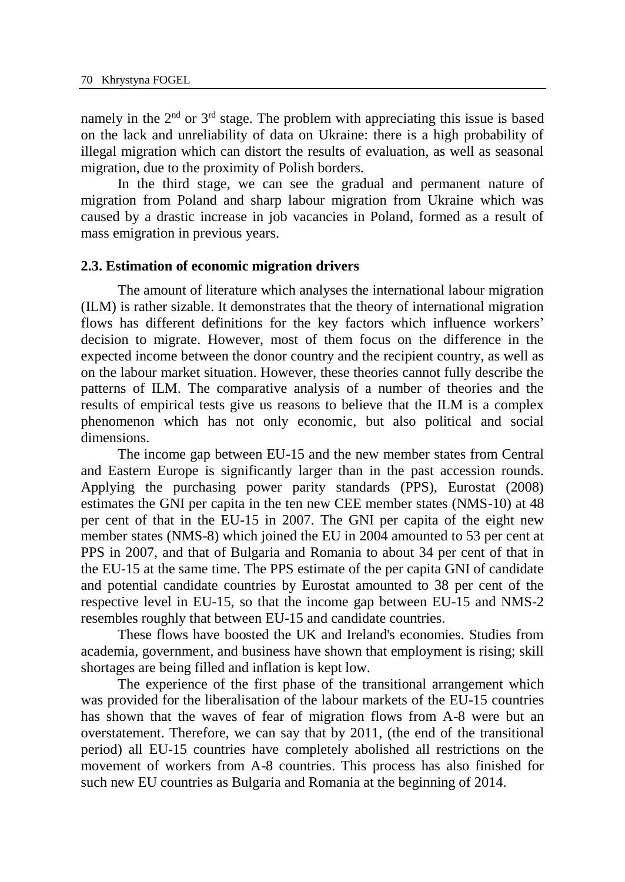namely in the  $2<sup>nd</sup>$  or  $3<sup>rd</sup>$  stage. The problem with appreciating this issue is based on the lack and unreliability of data on Ukraine: there is a high probability of illegal migration which can distort the results of evaluation, as well as seasonal migration, due to the proximity of Polish borders.

In the third stage, we can see the gradual and permanent nature of migration from Poland and sharp labour migration from Ukraine which was caused by a drastic increase in job vacancies in Poland, formed as a result of mass emigration in previous years.

#### **2.3. Estimation of economic migration drivers**

The amount of literature which analyses the international labour migration (ILM) is rather sizable. It demonstrates that the theory of international migration flows has different definitions for the key factors which influence workers' decision to migrate. However, most of them focus on the difference in the expected income between the donor country and the recipient country, as well as on the labour market situation. However, these theories cannot fully describe the patterns of ILM. The comparative analysis of a number of theories and the results of empirical tests give us reasons to believe that the ILM is a complex phenomenon which has not only economic, but also political and social dimensions.

The income gap between EU-15 and the new member states from Central and Eastern Europe is significantly larger than in the past accession rounds. Applying the purchasing power parity standards (PPS), Eurostat (2008) estimates the GNI per capita in the ten new CEE member states (NMS-10) at 48 per cent of that in the EU-15 in 2007. The GNI per capita of the eight new member states (NMS-8) which joined the EU in 2004 amounted to 53 per cent at PPS in 2007, and that of Bulgaria and Romania to about 34 per cent of that in the EU-15 at the same time. The PPS estimate of the per capita GNI of candidate and potential candidate countries by Eurostat amounted to 38 per cent of the respective level in EU-15, so that the income gap between EU-15 and NMS-2 resembles roughly that between EU-15 and candidate countries.

These flows have boosted the UK and Ireland's economies. Studies from academia, government, and business have shown that employment is rising; skill shortages are being filled and inflation is kept low.

The experience of the first phase of the transitional arrangement which was provided for the liberalisation of the labour markets of the EU-15 countries has shown that the waves of fear of migration flows from A-8 were but an overstatement. Therefore, we can say that by 2011, (the end of the transitional period) all EU-15 countries have completely abolished all restrictions on the movement of workers from A-8 countries. This process has also finished for such new EU countries as Bulgaria and Romania at the beginning of 2014.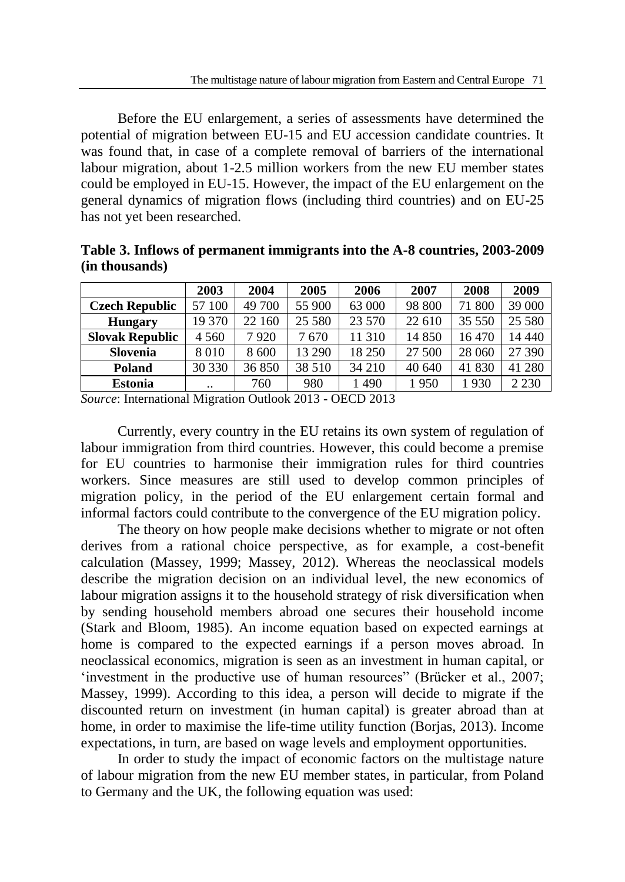Before the EU enlargement, a series of assessments have determined the potential of migration between EU-15 and EU accession candidate countries. It was found that, in case of a complete removal of barriers of the international labour migration, about 1-2.5 million workers from the new EU member states could be employed in EU-15. However, the impact of the EU enlargement on the general dynamics of migration flows (including third countries) and on EU-25 has not yet been researched.

|                        | 2003                 | 2004   | 2005   | 2006   | 2007   | 2008   | 2009    |
|------------------------|----------------------|--------|--------|--------|--------|--------|---------|
| <b>Czech Republic</b>  | 57 100               | 49 700 | 55 900 | 63 000 | 98 800 | 71 800 | 39 000  |
| <b>Hungary</b>         | 19 370               | 22 160 | 25 580 | 23 570 | 22 610 | 35 550 | 25 5 80 |
| <b>Slovak Republic</b> | 4 5 6 0              | 7920   | 7670   | 11 310 | 14 850 | 16 470 | 14 440  |
| Slovenia               | 8010                 | 8 600  | 13 290 | 18 250 | 27 500 | 28 060 | 27 390  |
| Poland                 | 30 330               | 36850  | 38 510 | 34 210 | 40 640 | 41 830 | 41 280  |
| <b>Estonia</b>         | $\ddot{\phantom{0}}$ | 760    | 980    | 490    | 1950   | 1930   | 2 2 3 0 |

**Table 3. Inflows of permanent immigrants into the A-8 countries, 2003-2009 (in thousands)**

*Source*: International Migration Outlook 2013 - OECD 2013

Currently, every country in the EU retains its own system of regulation of labour immigration from third countries. However, this could become a premise for EU countries to harmonise their immigration rules for third countries workers. Since measures are still used to develop common principles of migration policy, in the period of the EU enlargement certain formal and informal factors could contribute to the convergence of the EU migration policy.

The theory on how people make decisions whether to migrate or not often derives from a rational choice perspective, as for example, a cost-benefit calculation (Massey, 1999; Massey, 2012). Whereas the neoclassical models describe the migration decision on an individual level, the new economics of labour migration assigns it to the household strategy of risk diversification when by sending household members abroad one secures their household income (Stark and Bloom, 1985). An income equation based on expected earnings at home is compared to the expected earnings if a person moves abroad. In neoclassical economics, migration is seen as an investment in human capital, or 'investment in the productive use of human resources" (Brücker et al., 2007; Massey, 1999). According to this idea, a person will decide to migrate if the discounted return on investment (in human capital) is greater abroad than at home, in order to maximise the life-time utility function (Borjas, 2013). Income expectations, in turn, are based on wage levels and employment opportunities.

In order to study the impact of economic factors on the multistage nature of labour migration from the new EU member states, in particular, from Poland to Germany and the UK, the following equation was used: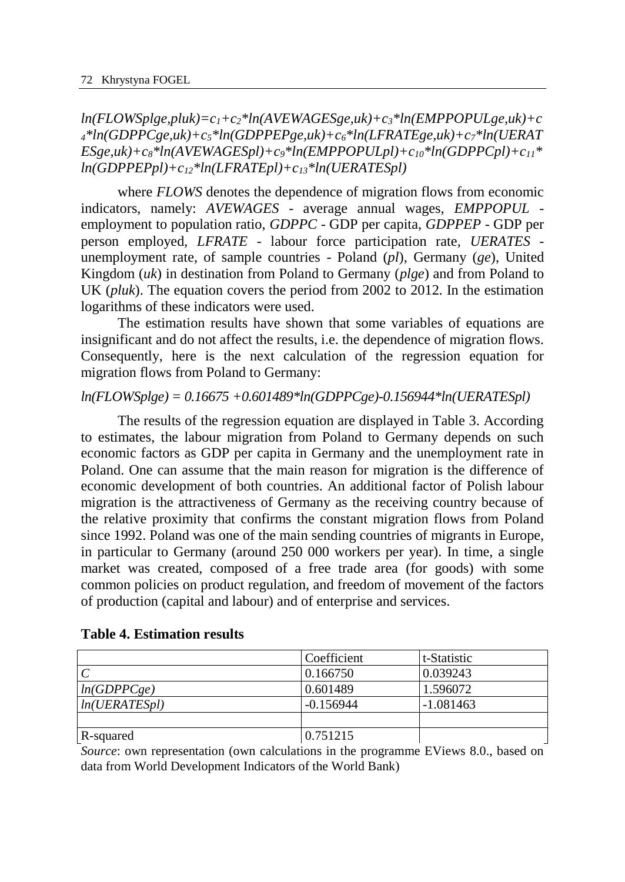*ln(FLOWSplge,pluk)=c1+c2\*ln(AVEWAGESge,uk)+c3\*ln(EMPPOPULge,uk)+c <sup>4</sup>\*ln(GDPPCge,uk)+c5\*ln(GDPPEPge,uk)+c6\*ln(LFRATEge,uk)+c7\*ln(UERAT*  $ESge,uk)+c_8 *ln(AVEWAGESpl)+c_9 *ln(EMPPOPULpl)+c_{10}*ln(GDPPCpl)+c_{11}*$ *ln(GDPPEPpl)+c12\*ln(LFRATEpl)+c13\*ln(UERATESpl)*

where *FLOWS* denotes the dependence of migration flows from economic indicators, namely: *AVEWAGES* - average annual wages, *EMPPOPUL* employment to population ratio, *GDPPC* - GDP per capita, *GDPPEP* - GDP per person employed, *LFRATE -* labour force participation rate*, UERATES*  unemployment rate, of sample countries - Poland (*pl*), Germany (*ge*), United Kingdom (*uk*) in destination from Poland to Germany (*plge*) and from Poland to UK (*pluk*). The equation covers the period from 2002 to 2012. In the estimation logarithms of these indicators were used.

The estimation results have shown that some variables of equations are insignificant and do not affect the results, i.e. the dependence of migration flows. Consequently, here is the next calculation of the regression equation for migration flows from Poland to Germany:

## *ln(FLOWSplge) = 0.16675 +0.601489\*ln(GDPPCge)-0.156944\*ln(UERATESpl)*

The results of the regression equation are displayed in Table 3. According to estimates, the labour migration from Poland to Germany depends on such economic factors as GDP per capita in Germany and the unemployment rate in Poland. One can assume that the main reason for migration is the difference of economic development of both countries. An additional factor of Polish labour migration is the attractiveness of Germany as the receiving country because of the relative proximity that confirms the constant migration flows from Poland since 1992. Poland was one of the main sending countries of migrants in Europe, in particular to Germany (around 250 000 workers per year). In time, a single market was created, composed of a free trade area (for goods) with some common policies on product regulation, and freedom of movement of the factors of production (capital and labour) and of enterprise and services.

|               | Coefficient | t-Statistic |
|---------------|-------------|-------------|
|               | 0.166750    | 0.039243    |
| ln(GDPPCge)   | 0.601489    | 1.596072    |
| ln(UERATESpl) | $-0.156944$ | $-1.081463$ |
|               |             |             |
| R-squared     | 0.751215    |             |

#### **Table 4. Estimation results**

*Source*: own representation (own calculations in the programme EViews 8.0., based on data from World Development Indicators of the World Bank)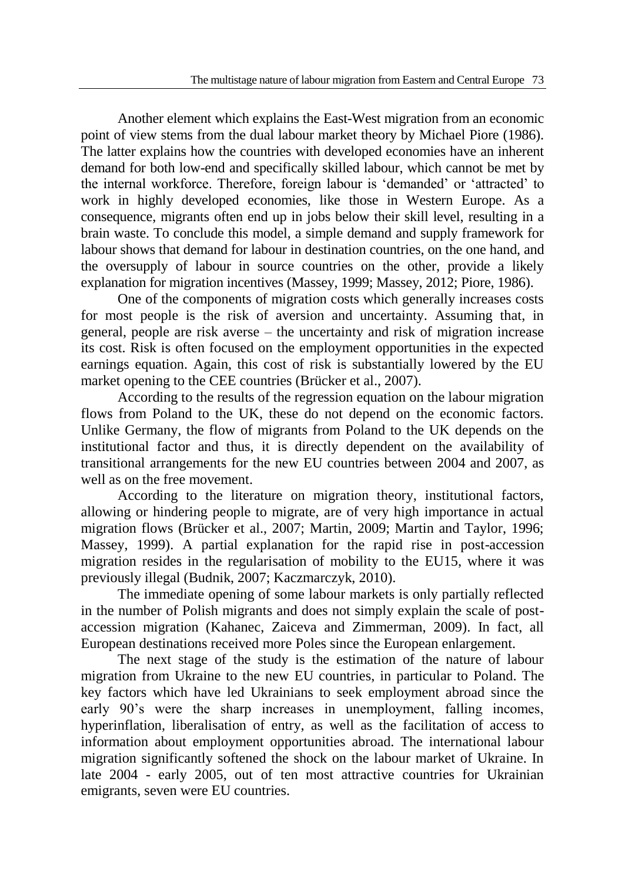Another element which explains the East-West migration from an economic point of view stems from the dual labour market theory by Michael Piore (1986). The latter explains how the countries with developed economies have an inherent demand for both low-end and specifically skilled labour, which cannot be met by the internal workforce. Therefore, foreign labour is 'demanded' or 'attracted' to work in highly developed economies, like those in Western Europe. As a consequence, migrants often end up in jobs below their skill level, resulting in a brain waste. To conclude this model, a simple demand and supply framework for labour shows that demand for labour in destination countries, on the one hand, and the oversupply of labour in source countries on the other, provide a likely explanation for migration incentives (Massey, 1999; Massey, 2012; Piore, 1986).

One of the components of migration costs which generally increases costs for most people is the risk of aversion and uncertainty. Assuming that, in general, people are risk averse – the uncertainty and risk of migration increase its cost. Risk is often focused on the employment opportunities in the expected earnings equation. Again, this cost of risk is substantially lowered by the EU market opening to the CEE countries (Brücker et al., 2007).

According to the results of the regression equation on the labour migration flows from Poland to the UK, these do not depend on the economic factors. Unlike Germany, the flow of migrants from Poland to the UK depends on the institutional factor and thus, it is directly dependent on the availability of transitional arrangements for the new EU countries between 2004 and 2007, as well as on the free movement.

According to the literature on migration theory, institutional factors, allowing or hindering people to migrate, are of very high importance in actual migration flows (Brücker et al., 2007; Martin, 2009; Martin and Taylor, 1996; Massey, 1999). A partial explanation for the rapid rise in post-accession migration resides in the regularisation of mobility to the EU15, where it was previously illegal (Budnik, 2007; Kaczmarczyk, 2010).

The immediate opening of some labour markets is only partially reflected in the number of Polish migrants and does not simply explain the scale of postaccession migration (Kahanec, Zaiceva and Zimmerman, 2009). In fact, all European destinations received more Poles since the European enlargement.

The next stage of the study is the estimation of the nature of labour migration from Ukraine to the new EU countries, in particular to Poland. The key factors which have led Ukrainians to seek employment abroad since the early 90's were the sharp increases in unemployment, falling incomes, hyperinflation, liberalisation of entry, as well as the facilitation of access to information about employment opportunities abroad. The international labour migration significantly softened the shock on the labour market of Ukraine. In late 2004 - early 2005, out of ten most attractive countries for Ukrainian emigrants, seven were EU countries.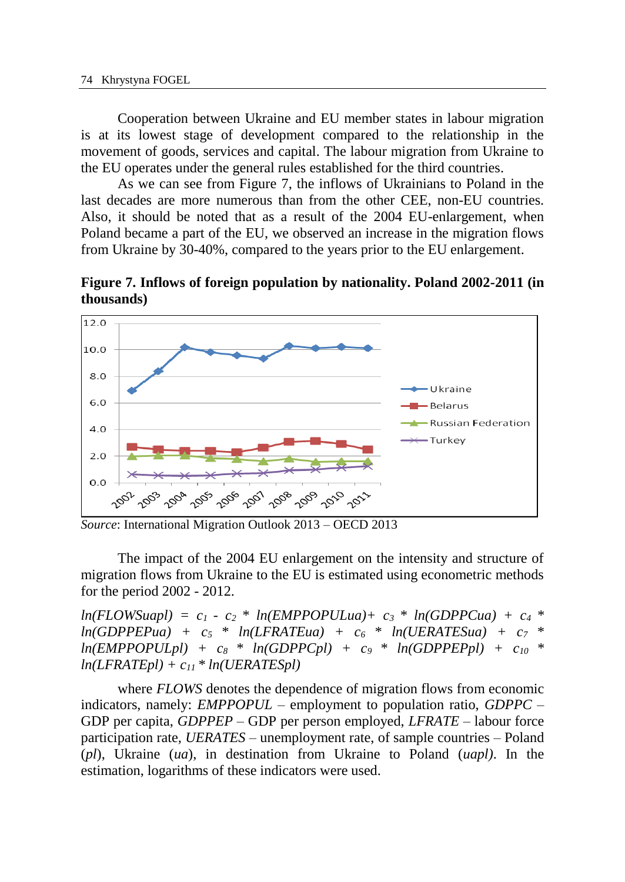Cooperation between Ukraine and EU member states in labour migration is at its lowest stage of development compared to the relationship in the movement of goods, services and capital. The labour migration from Ukraine to the EU operates under the general rules established for the third countries.

As we can see from Figure 7, the inflows of Ukrainians to Poland in the last decades are more numerous than from the other CEE, non-EU countries. Also, it should be noted that as a result of the 2004 EU-enlargement, when Poland became a part of the EU, we observed an increase in the migration flows from Ukraine by 30-40%, compared to the years prior to the EU enlargement.

**Figure 7. Inflows of foreign population by nationality. Poland 2002-2011 (in thousands)**



*Source*: International Migration Outlook 2013 – OECD 2013

The impact of the 2004 EU enlargement on the intensity and structure of migration flows from Ukraine to the EU is estimated using econometric methods for the period 2002 - 2012.

 $ln(FLOWSuap1) = c_1 - c_2 * ln(EMPPOPULua) + c_3 * ln(GDPPCua) + c_4 *$  $ln(GDPPEPua) + c_5 * ln(LFRATEua) + c_6 * ln(UERATESua) + c_7 *$  $ln(EMPPOPULpl) + c_8 * ln(GDPPCpl) + c_9 * ln(GDPPEPpl) + c_{10} *$  $ln(LFRATEpl) + c_{11} * ln(UERATESpl)$ 

where *FLOWS* denotes the dependence of migration flows from economic indicators, namely: *EMPPOPUL* – employment to population ratio, *GDPPC* – GDP per capita, *GDPPEP* – GDP per person employed, *LFRATE –* labour force participation rate*, UERATES –* unemployment rate, of sample countries – Poland (*pl*), Ukraine (*ua*), in destination from Ukraine to Poland (*uapl)*. In the estimation, logarithms of these indicators were used.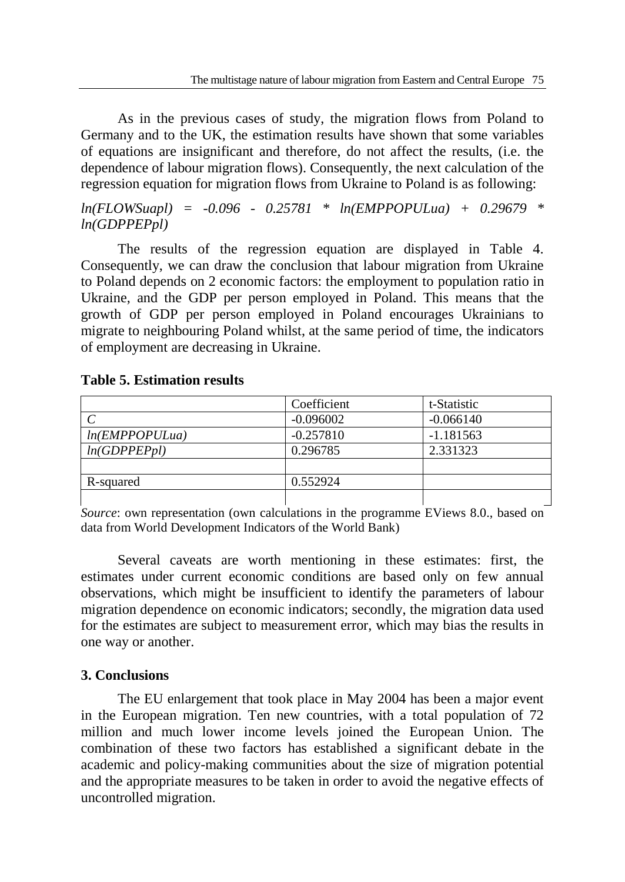As in the previous cases of study, the migration flows from Poland to Germany and to the UK, the estimation results have shown that some variables of equations are insignificant and therefore, do not affect the results, (i.e. the dependence of labour migration flows). Consequently, the next calculation of the regression equation for migration flows from Ukraine to Poland is as following:

*ln(FLOWSuapl) = -0.096 - 0.25781 \* ln(EMPPOPULua) + 0.29679 \* ln(GDPPEPpl)*

The results of the regression equation are displayed in Table 4. Consequently, we can draw the conclusion that labour migration from Ukraine to Poland depends on 2 economic factors: the employment to population ratio in Ukraine, and the GDP per person employed in Poland. This means that the growth of GDP per person employed in Poland encourages Ukrainians to migrate to neighbouring Poland whilst, at the same period of time, the indicators of employment are decreasing in Ukraine.

### **Table 5. Estimation results**

|               | Coefficient | t-Statistic |
|---------------|-------------|-------------|
|               | $-0.096002$ | $-0.066140$ |
| ln(EMPOPULua) | $-0.257810$ | $-1.181563$ |
| ln(GDPPEPpl)  | 0.296785    | 2.331323    |
|               |             |             |
| R-squared     | 0.552924    |             |
|               |             |             |

*Source*: own representation (own calculations in the programme EViews 8.0., based on data from World Development Indicators of the World Bank)

Several caveats are worth mentioning in these estimates: first, the estimates under current economic conditions are based only on few annual observations, which might be insufficient to identify the parameters of labour migration dependence on economic indicators; secondly, the migration data used for the estimates are subject to measurement error, which may bias the results in one way or another.

## **3. Conclusions**

The EU enlargement that took place in May 2004 has been a major event in the European migration. Ten new countries, with a total population of 72 million and much lower income levels joined the European Union. The combination of these two factors has established a significant debate in the academic and policy-making communities about the size of migration potential and the appropriate measures to be taken in order to avoid the negative effects of uncontrolled migration.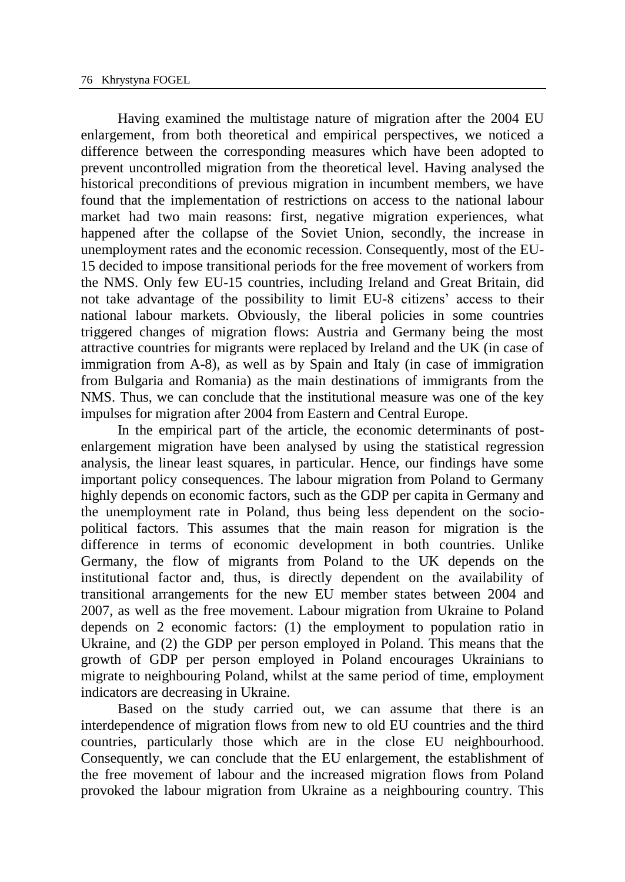Having examined the multistage nature of migration after the 2004 EU enlargement, from both theoretical and empirical perspectives, we noticed a difference between the corresponding measures which have been adopted to prevent uncontrolled migration from the theoretical level. Having analysed the historical preconditions of previous migration in incumbent members, we have found that the implementation of restrictions on access to the national labour market had two main reasons: first, negative migration experiences, what happened after the collapse of the Soviet Union, secondly, the increase in unemployment rates and the economic recession. Consequently, most of the EU-15 decided to impose transitional periods for the free movement of workers from the NMS. Only few EU-15 countries, including Ireland and Great Britain, did not take advantage of the possibility to limit EU-8 citizens' access to their national labour markets. Obviously, the liberal policies in some countries triggered changes of migration flows: Austria and Germany being the most attractive countries for migrants were replaced by Ireland and the UK (in case of immigration from A-8), as well as by Spain and Italy (in case of immigration from Bulgaria and Romania) as the main destinations of immigrants from the NMS. Thus, we can conclude that the institutional measure was one of the key impulses for migration after 2004 from Eastern and Central Europe.

In the empirical part of the article, the economic determinants of postenlargement migration have been analysed by using the statistical regression analysis, the linear least squares, in particular. Hence, our findings have some important policy consequences. The labour migration from Poland to Germany highly depends on economic factors, such as the GDP per capita in Germany and the unemployment rate in Poland, thus being less dependent on the sociopolitical factors. This assumes that the main reason for migration is the difference in terms of economic development in both countries. Unlike Germany, the flow of migrants from Poland to the UK depends on the institutional factor and, thus, is directly dependent on the availability of transitional arrangements for the new EU member states between 2004 and 2007, as well as the free movement. Labour migration from Ukraine to Poland depends on 2 economic factors: (1) the employment to population ratio in Ukraine, and (2) the GDP per person employed in Poland. This means that the growth of GDP per person employed in Poland encourages Ukrainians to migrate to neighbouring Poland, whilst at the same period of time, employment indicators are decreasing in Ukraine.

Based on the study carried out, we can assume that there is an interdependence of migration flows from new to old EU countries and the third countries, particularly those which are in the close EU neighbourhood. Consequently, we can conclude that the EU enlargement, the establishment of the free movement of labour and the increased migration flows from Poland provoked the labour migration from Ukraine as a neighbouring country. This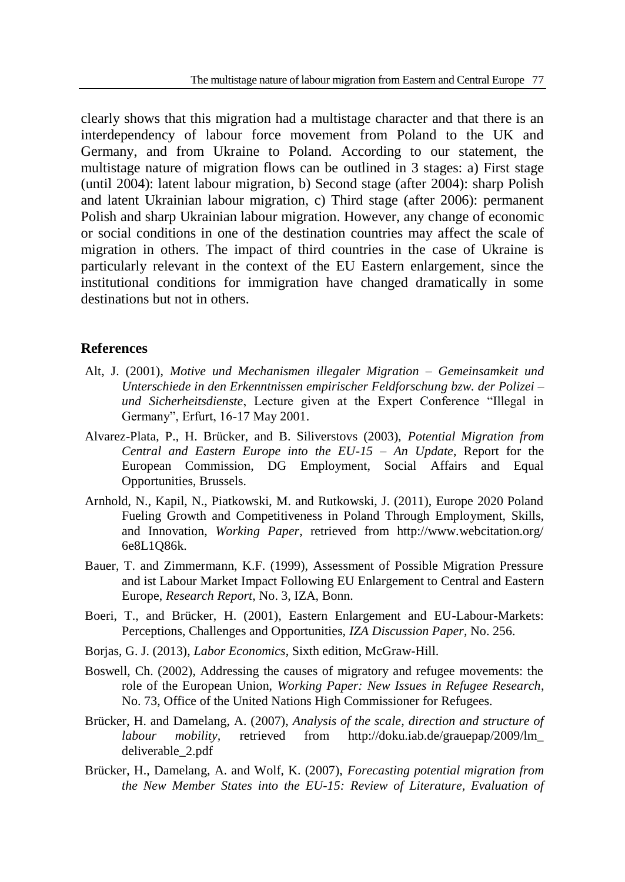clearly shows that this migration had a multistage character and that there is an interdependency of labour force movement from Poland to the UK and Germany, and from Ukraine to Poland. According to our statement, the multistage nature of migration flows can be outlined in 3 stages: a) First stage (until 2004): latent labour migration, b) Second stage (after 2004): sharp Polish and latent Ukrainian labour migration, c) Third stage (after 2006): permanent Polish and sharp Ukrainian labour migration. However, any change of economic or social conditions in one of the destination countries may affect the scale of migration in others. The impact of third countries in the case of Ukraine is particularly relevant in the context of the EU Eastern enlargement, since the institutional conditions for immigration have changed dramatically in some destinations but not in others.

#### **References**

- Alt, J. (2001), *Motive und Mechanismen illegaler Migration – Gemeinsamkeit und Unterschiede in den Erkenntnissen empirischer Feldforschung bzw. der Polizei – und Sicherheitsdienste*, Lecture given at the Expert Conference "Illegal in Germany", Erfurt, 16-17 May 2001.
- Alvarez-Plata, P., H. Brücker, and B. Siliverstovs (2003), *Potential Migration from Central and Eastern Europe into the EU-15 – An Update*, Report for the European Commission, DG Employment, Social Affairs and Equal Opportunities, Brussels.
- Arnhold, N., Kapil, N., Piatkowski, M. and Rutkowski, J. (2011), Europe 2020 Poland Fueling Growth and Competitiveness in Poland Through Employment, Skills, and Innovation, *Working Paper*, retrieved from http://www.webcitation.org/ 6e8L1Q86k.
- Bauer, T. and Zimmermann, K.F. (1999), Assessment of Possible Migration Pressure and ist Labour Market Impact Following EU Enlargement to Central and Eastern Europe, *Research Report*, No. 3, IZA, Bonn.
- Boeri, T., and Brücker, H. (2001), Eastern Enlargement and EU-Labour-Markets: Perceptions, Challenges and Opportunities, *IZA Discussion Paper*, No. 256.
- Borjas, G. J. (2013), *Labor Economics*, Sixth edition, McGraw-Hill.
- Boswell, Ch. (2002), Addressing the causes of migratory and refugee movements: the role of the European Union, *Working Paper: New Issues in Refugee Research*, No. 73, Office of the United Nations High Commissioner for Refugees.
- Brücker, H. and Damelang, A. (2007), *Analysis of the scale, direction and structure of labour mobility,* retrieved from http://doku.iab.de/grauepap/2009/lm\_ deliverable\_2.pdf
- Brücker, H., Damelang, A. and Wolf, K. (2007), *Forecasting potential migration from the New Member States into the EU-15: Review of Literature, Evaluation of*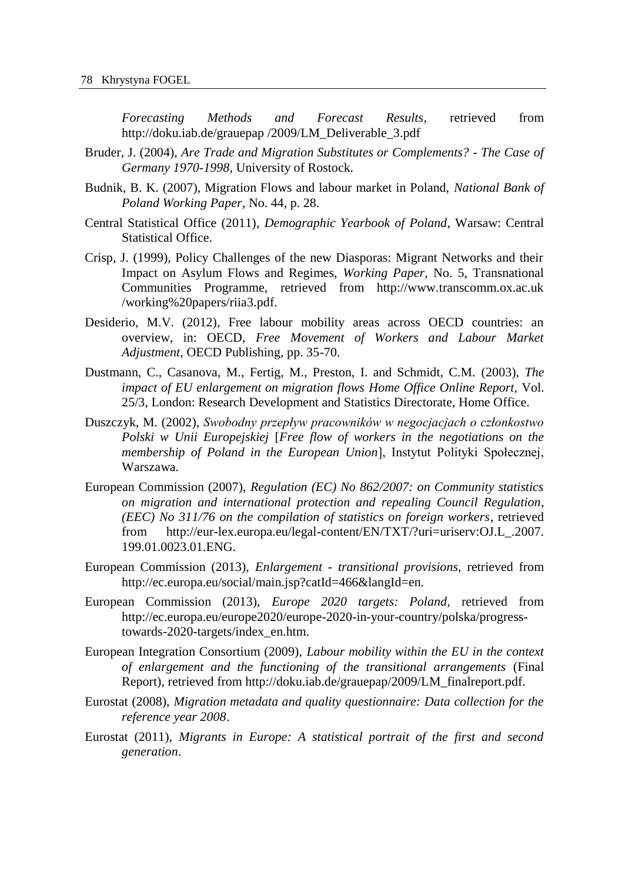*Forecasting Methods and Forecast Results*, retrieved from http://doku.iab.de/grauepap /2009/LM\_Deliverable\_3.pdf

- Bruder, J. (2004), *Are Trade and Migration Substitutes or Complements? - The Case of Germany 1970-1998*, University of Rostock.
- Budnik, B. K. (2007), Migration Flows and labour market in Poland, *National Bank of Poland Working Paper*, No. 44, p. 28.
- Central Statistical Office (2011), *Demographic Yearbook of Poland*, Warsaw: Central Statistical Office.
- Crisp, J. (1999), Policy Challenges of the new Diasporas: Migrant Networks and their Impact on Asylum Flows and Regimes, *Working Paper*, No. 5, Transnational Communities Programme, retrieved from http://www.transcomm.ox.ac.uk /working%20papers/riia3.pdf.
- Desiderio, M.V. (2012), Free labour mobility areas across OECD countries: an overview, in: OECD, *Free Movement of Workers and Labour Market Adjustment,* OECD Publishing, pp. 35-70.
- Dustmann, C., Casanova, M., Fertig, M., Preston, I. and Schmidt, C.M. (2003), *The impact of EU enlargement on migration flows Home Office Online Report,* Vol. 25/3, London: Research Development and Statistics Directorate, Home Office.
- Duszczyk, M. (2002), *Swobodny przepływ pracowników w negocjacjach o członkostwo Polski w Unii Europejskiej* [*Free flow of workers in the negotiations on the membership of Poland in the European Union*], Instytut Polityki Społecznej, Warszawa.
- European Commission (2007), *Regulation (EC) No 862/2007: on Community statistics on migration and international protection and repealing Council Regulation*, *(EEC) No 311/76 on the compilation of statistics on foreign workers*, retrieved from http://eur-lex.europa.eu/legal-content/EN/TXT/?uri=uriserv:OJ.L\_.2007. 199.01.0023.01.ENG.
- European Commission (2013), *Enlargement - transitional provisions,* retrieved from http://ec.europa.eu/social/main.jsp?catId=466&langId=en.
- European Commission (2013), *Europe 2020 targets: Poland,* retrieved from http://ec.europa.eu/europe2020/europe-2020-in-your-country/polska/progresstowards-2020-targets/index\_en.htm.
- European Integration Consortium (2009), *Labour mobility within the EU in the context of enlargement and the functioning of the transitional arrangements* (Final Report), retrieved from http://doku.iab.de/grauepap/2009/LM\_finalreport.pdf.
- Eurostat (2008), *Migration metadata and quality questionnaire: Data collection for the reference year 2008*.
- Eurostat (2011), *Migrants in Europe: A statistical portrait of the first and second generation*.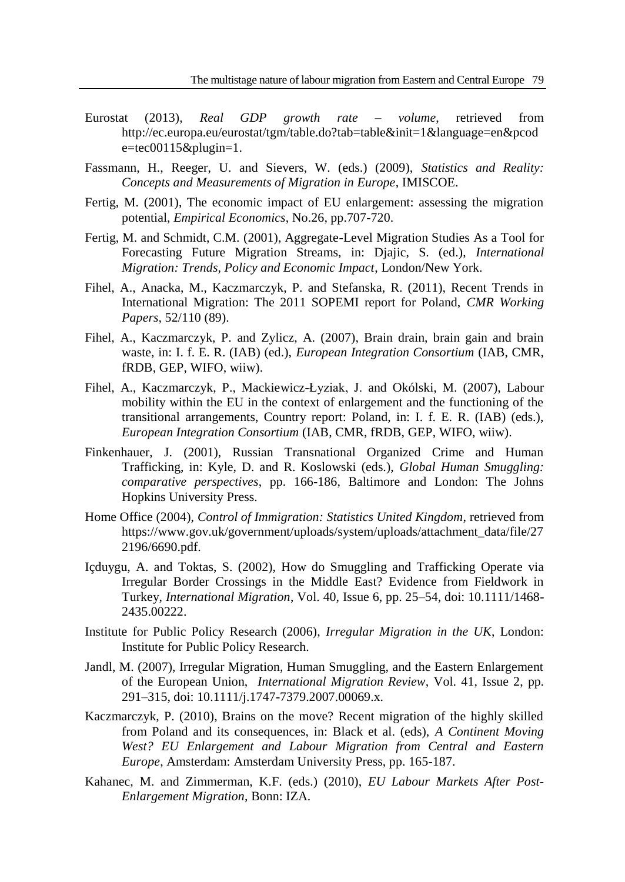- Eurostat (2013), *Real GDP growth rate – volume*, retrieved from http://ec.europa.eu/eurostat/tgm/table.do?tab=table&init=1&language=en&pcod e=tec00115&plugin=1.
- Fassmann, H., Reeger, U. and Sievers, W. (eds.) (2009), *Statistics and Reality: Concepts and Measurements of Migration in Europe*, IMISCOE.
- Fertig, M. (2001), The economic impact of EU enlargement: assessing the migration potential, *Empirical Economics*, No.26, pp.707-720.
- Fertig, M. and Schmidt, C.M. (2001), Aggregate-Level Migration Studies As a Tool for Forecasting Future Migration Streams, in: Djajic, S. (ed.), *International Migration: Trends, Policy and Economic Impact*, London/New York.
- Fihel, A., Anacka, M., Kaczmarczyk, P. and Stefanska, R. (2011), Recent Trends in International Migration: The 2011 SOPEMI report for Poland, *CMR Working Papers,* 52/110 (89).
- Fihel, A., Kaczmarczyk, P. and Zylicz, A. (2007), Brain drain, brain gain and brain waste, in: I. f. E. R. (IAB) (ed.), *European Integration Consortium* (IAB, CMR, fRDB, GEP, WIFO, wiiw).
- Fihel, A., Kaczmarczyk, P., Mackiewicz-Łyziak, J. and Okólski, M. (2007), Labour mobility within the EU in the context of enlargement and the functioning of the transitional arrangements, Country report: Poland, in: I. f. E. R. (IAB) (eds.), *European Integration Consortium* (IAB, CMR, fRDB, GEP, WIFO, wiiw).
- Finkenhauer, J. (2001), Russian Transnational Organized Crime and Human Trafficking, in: Kyle, D. and R. Koslowski (eds.), *Global Human Smuggling: comparative perspectives*, pp. 166-186, Baltimore and London: The Johns Hopkins University Press.
- Home Office (2004), *Control of Immigration: Statistics United Kingdom*, retrieved from https://www.gov.uk/government/uploads/system/uploads/attachment\_data/file/27 2196/6690.pdf.
- Içduygu, A. and Toktas, S. (2002), How do Smuggling and Trafficking Operate via Irregular Border Crossings in the Middle East? Evidence from Fieldwork in Turkey, *International Migration*, Vol. 40, Issue 6, pp. 25–54, doi: 10.1111/1468- 2435.00222.
- Institute for Public Policy Research (2006), *Irregular Migration in the UK*, London: Institute for Public Policy Research.
- Jandl, M. (2007), Irregular Migration, Human Smuggling, and the Eastern Enlargement of the European Union, *International Migration Review*, Vol. 41, Issue 2, pp. 291–315, doi: 10.1111/j.1747-7379.2007.00069.x.
- Kaczmarczyk, P. (2010), Brains on the move? Recent migration of the highly skilled from Poland and its consequences, in: Black et al. (eds), *A Continent Moving West? EU Enlargement and Labour Migration from Central and Eastern Europe*, Amsterdam: Amsterdam University Press, pp. 165-187.
- Kahanec, M. and Zimmerman, K.F. (eds.) (2010), *EU Labour Markets After Post-Enlargement Migration*, Bonn: IZA.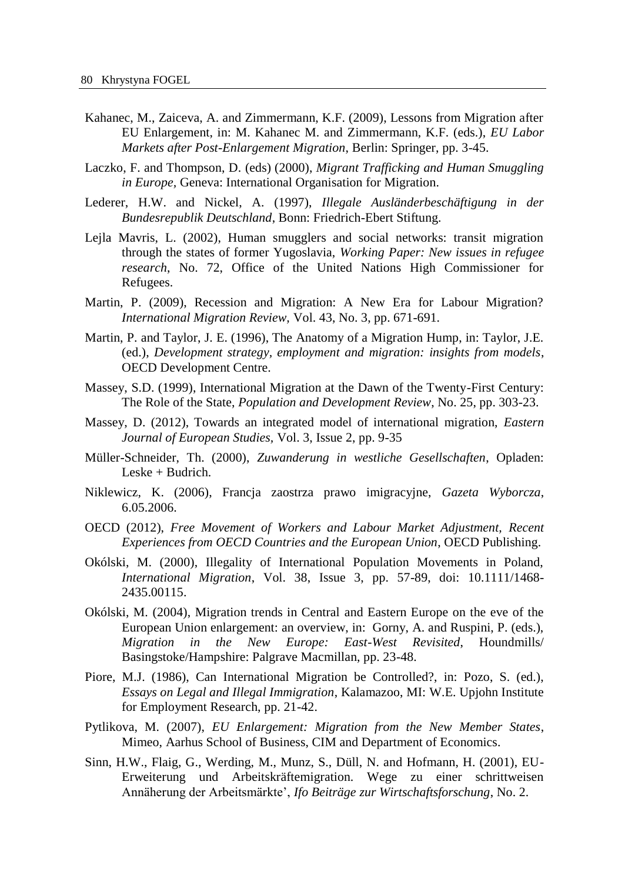- Kahanec, M., Zaiceva, A. and Zimmermann, K.F. (2009), Lessons from Migration after EU Enlargement, in: M. Kahanec M. and Zimmermann, K.F. (eds.), *EU Labor Markets after Post-Enlargement Migration*, Berlin: Springer, pp. 3-45.
- Laczko, F. and Thompson, D. (eds) (2000), *Migrant Trafficking and Human Smuggling in Europe,* Geneva: International Organisation for Migration.
- Lederer, H.W. and Nickel, A. (1997), *Illegale Ausländerbeschäftigung in der Bundesrepublik Deutschland*, Bonn: Friedrich-Ebert Stiftung.
- Lejla Mavris, L. (2002), Human smugglers and social networks: transit migration through the states of former Yugoslavia, *Working Paper: New issues in refugee research*, No. 72, Office of the United Nations High Commissioner for Refugees.
- Martin, P. (2009), Recession and Migration: A New Era for Labour Migration? *International Migration Review,* Vol. 43, No. 3, pp. 671-691.
- Martin, P. and Taylor, J. E. (1996), The Anatomy of a Migration Hump, in: Taylor, J.E. (ed.), *Development strategy, employment and migration: insights from models*, OECD Development Centre.
- Massey, S.D. (1999), International Migration at the Dawn of the Twenty-First Century: The Role of the State, *Population and Development Review*, No. 25, pp. 303-23.
- Massey, D. (2012), Towards an integrated model of international migration, *Eastern Journal of European Studies,* Vol. 3, Issue 2, pp. 9-35
- Müller-Schneider, Th. (2000), *Zuwanderung in westliche Gesellschaften*, Opladen: Leske + Budrich.
- Niklewicz, K. (2006), Francja zaostrza prawo imigracyjne, *Gazeta Wyborcza*, 6.05.2006.
- OECD (2012), *Free Movement of Workers and Labour Market Adjustment, Recent Experiences from OECD Countries and the European Union*, OECD Publishing.
- Okólski, M. (2000), Illegality of International Population Movements in Poland, *International Migration*, Vol. 38, Issue 3, pp. 57-89, doi: 10.1111/1468- 2435.00115.
- Okólski, M. (2004), Migration trends in Central and Eastern Europe on the eve of the European Union enlargement: an overview, in: Gorny, A. and Ruspini, P. (eds.), *Migration in the New Europe: East-West Revisited*, Houndmills/ Basingstoke/Hampshire: Palgrave Macmillan, pp. 23-48.
- Piore, M.J. (1986), Can International Migration be Controlled?, in: Pozo, S. (ed.), *Essays on Legal and Illegal Immigration*, Kalamazoo, MI: W.E. Upjohn Institute for Employment Research, pp. 21-42.
- Pytlikova, M. (2007), *EU Enlargement: Migration from the New Member States*, Mimeo, Aarhus School of Business, CIM and Department of Economics.
- Sinn, H.W., Flaig, G., Werding, M., Munz, S., Düll, N. and Hofmann, H. (2001), EU-Erweiterung und Arbeitskräftemigration. Wege zu einer schrittweisen Annäherung der Arbeitsmärkte', *Ifo Beiträge zur Wirtschaftsforschung*, No. 2.